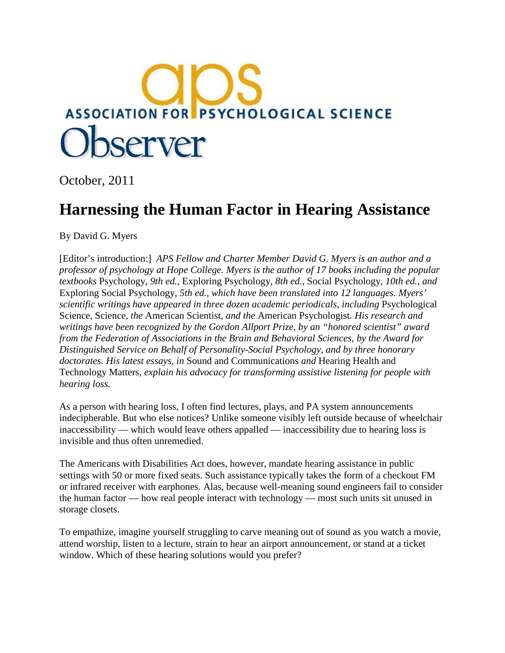

October, 2011

## **Harnessing the Human Factor in Hearing Assistance**

By David G. Myers

[Editor's introduction:] *APS Fellow and Charter Member David G. Myers is an author and a professor of psychology at Hope College. Myers is the author of 17 books including the popular textbooks* Psychology*, 9th ed.,* Exploring Psychology*, 8th ed.,* Social Psychology*, 10th ed., and*  Exploring Social Psychology*, 5th ed., which have been translated into 12 languages. Myers' scientific writings have appeared in three dozen academic periodicals, including* Psychological Science*,* Science*, the* American Scientist*, and the* American Psychologist*. His research and writings have been recognized by the Gordon Allport Prize, by an "honored scientist" award from the Federation of Associations in the Brain and Behavioral Sciences, by the Award for Distinguished Service on Behalf of Personality-Social Psychology, and by three honorary doctorates. His latest essays, in* Sound and Communications *and* Hearing Health and Technology Matters*, explain his advocacy for transforming assistive listening for people with hearing loss.*

As a person with hearing loss, I often find lectures, plays, and PA system announcements indecipherable. But who else notices? Unlike someone visibly left outside because of wheelchair inaccessibility — which would leave others appalled — inaccessibility due to hearing loss is invisible and thus often unremedied.

The Americans with Disabilities Act does, however, mandate hearing assistance in public settings with 50 or more fixed seats. Such assistance typically takes the form of a checkout FM or infrared receiver with earphones. Alas, because well-meaning sound engineers fail to consider the human factor — how real people interact with technology — most such units sit unused in storage closets.

To empathize, imagine yourself struggling to carve meaning out of sound as you watch a movie, attend worship, listen to a lecture, strain to hear an airport announcement, or stand at a ticket window. Which of these hearing solutions would you prefer?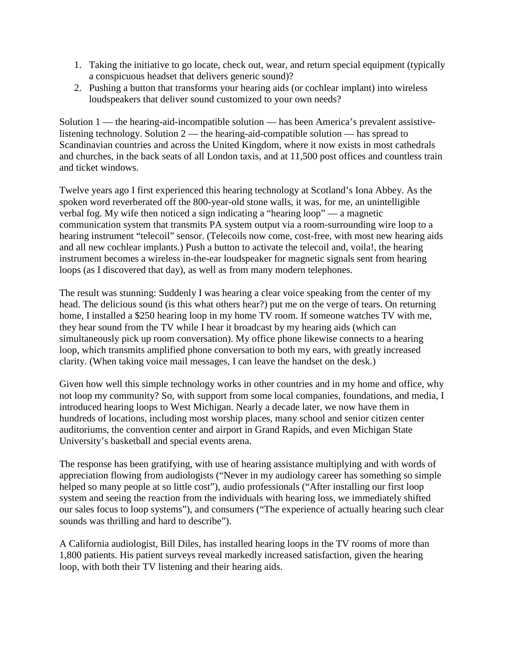- 1. Taking the initiative to go locate, check out, wear, and return special equipment (typically a conspicuous headset that delivers generic sound)?
- 2. Pushing a button that transforms your hearing aids (or cochlear implant) into wireless loudspeakers that deliver sound customized to your own needs?

Solution 1 — the hearing-aid-incompatible solution — has been America's prevalent assistivelistening technology. Solution 2 — the hearing-aid-compatible solution — has spread to Scandinavian countries and across the United Kingdom, where it now exists in most cathedrals and churches, in the back seats of all London taxis, and at 11,500 post offices and countless train and ticket windows.

Twelve years ago I first experienced this hearing technology at Scotland's Iona Abbey. As the spoken word reverberated off the 800-year-old stone walls, it was, for me, an unintelligible verbal fog. My wife then noticed a sign indicating a "hearing loop" — a magnetic communication system that transmits PA system output via a room-surrounding wire loop to a hearing instrument "telecoil" sensor. (Telecoils now come, cost-free, with most new hearing aids and all new cochlear implants.) Push a button to activate the telecoil and, voila!, the hearing instrument becomes a wireless in-the-ear loudspeaker for magnetic signals sent from hearing loops (as I discovered that day), as well as from many modern telephones.

The result was stunning: Suddenly I was hearing a clear voice speaking from the center of my head. The delicious sound (is this what others hear?) put me on the verge of tears. On returning home, I installed a \$250 hearing loop in my home TV room. If someone watches TV with me, they hear sound from the TV while I hear it broadcast by my hearing aids (which can simultaneously pick up room conversation). My office phone likewise connects to a hearing loop, which transmits amplified phone conversation to both my ears, with greatly increased clarity. (When taking voice mail messages, I can leave the handset on the desk.)

Given how well this simple technology works in other countries and in my home and office, why not loop my community? So, with support from some local companies, foundations, and media, I introduced hearing loops to West Michigan. Nearly a decade later, we now have them in hundreds of locations, including most worship places, many school and senior citizen center auditoriums, the convention center and airport in Grand Rapids, and even Michigan State University's basketball and special events arena.

The response has been gratifying, with use of hearing assistance multiplying and with words of appreciation flowing from audiologists ("Never in my audiology career has something so simple helped so many people at so little cost"), audio professionals ("After installing our first loop system and seeing the reaction from the individuals with hearing loss, we immediately shifted our sales focus to loop systems"), and consumers ("The experience of actually hearing such clear sounds was thrilling and hard to describe").

A California audiologist, Bill Diles, has installed hearing loops in the TV rooms of more than 1,800 patients. His patient surveys reveal markedly increased satisfaction, given the hearing loop, with both their TV listening and their hearing aids.